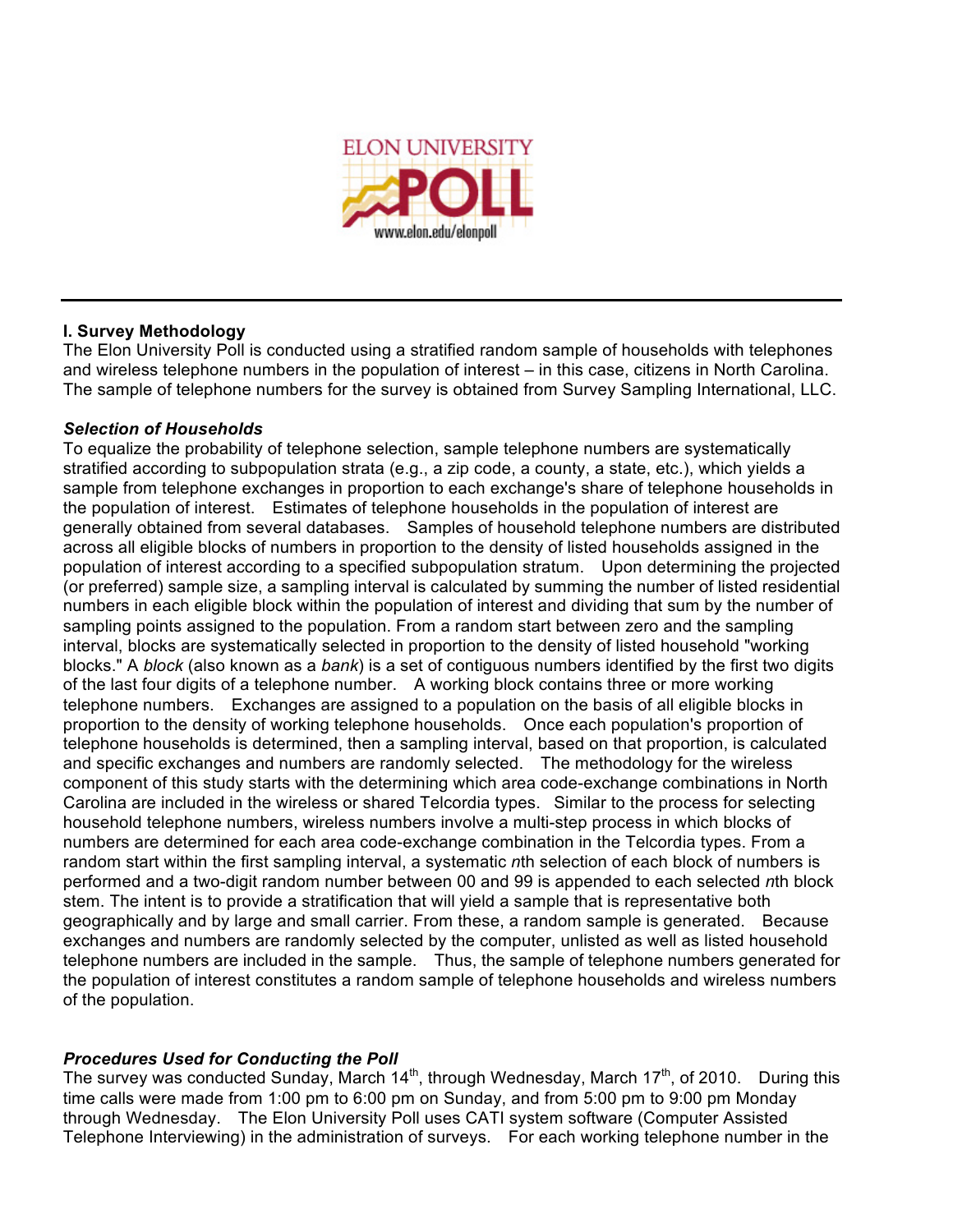

# **I. Survey Methodology**

The Elon University Poll is conducted using a stratified random sample of households with telephones and wireless telephone numbers in the population of interest – in this case, citizens in North Carolina. The sample of telephone numbers for the survey is obtained from Survey Sampling International, LLC.

# *Selection of Households*

To equalize the probability of telephone selection, sample telephone numbers are systematically stratified according to subpopulation strata (e.g., a zip code, a county, a state, etc.), which yields a sample from telephone exchanges in proportion to each exchange's share of telephone households in the population of interest. Estimates of telephone households in the population of interest are generally obtained from several databases. Samples of household telephone numbers are distributed across all eligible blocks of numbers in proportion to the density of listed households assigned in the population of interest according to a specified subpopulation stratum. Upon determining the projected (or preferred) sample size, a sampling interval is calculated by summing the number of listed residential numbers in each eligible block within the population of interest and dividing that sum by the number of sampling points assigned to the population. From a random start between zero and the sampling interval, blocks are systematically selected in proportion to the density of listed household "working blocks." A *block* (also known as a *bank*) is a set of contiguous numbers identified by the first two digits of the last four digits of a telephone number. A working block contains three or more working telephone numbers. Exchanges are assigned to a population on the basis of all eligible blocks in proportion to the density of working telephone households. Once each population's proportion of telephone households is determined, then a sampling interval, based on that proportion, is calculated and specific exchanges and numbers are randomly selected. The methodology for the wireless component of this study starts with the determining which area code-exchange combinations in North Carolina are included in the wireless or shared Telcordia types. Similar to the process for selecting household telephone numbers, wireless numbers involve a multi-step process in which blocks of numbers are determined for each area code-exchange combination in the Telcordia types. From a random start within the first sampling interval, a systematic *n*th selection of each block of numbers is performed and a two-digit random number between 00 and 99 is appended to each selected *n*th block stem. The intent is to provide a stratification that will yield a sample that is representative both geographically and by large and small carrier. From these, a random sample is generated. Because exchanges and numbers are randomly selected by the computer, unlisted as well as listed household telephone numbers are included in the sample. Thus, the sample of telephone numbers generated for the population of interest constitutes a random sample of telephone households and wireless numbers of the population.

# *Procedures Used for Conducting the Poll*

The survey was conducted Sunday, March 14<sup>th</sup>, through Wednesday, March 17<sup>th</sup>, of 2010. During this time calls were made from 1:00 pm to 6:00 pm on Sunday, and from 5:00 pm to 9:00 pm Monday through Wednesday. The Elon University Poll uses CATI system software (Computer Assisted Telephone Interviewing) in the administration of surveys. For each working telephone number in the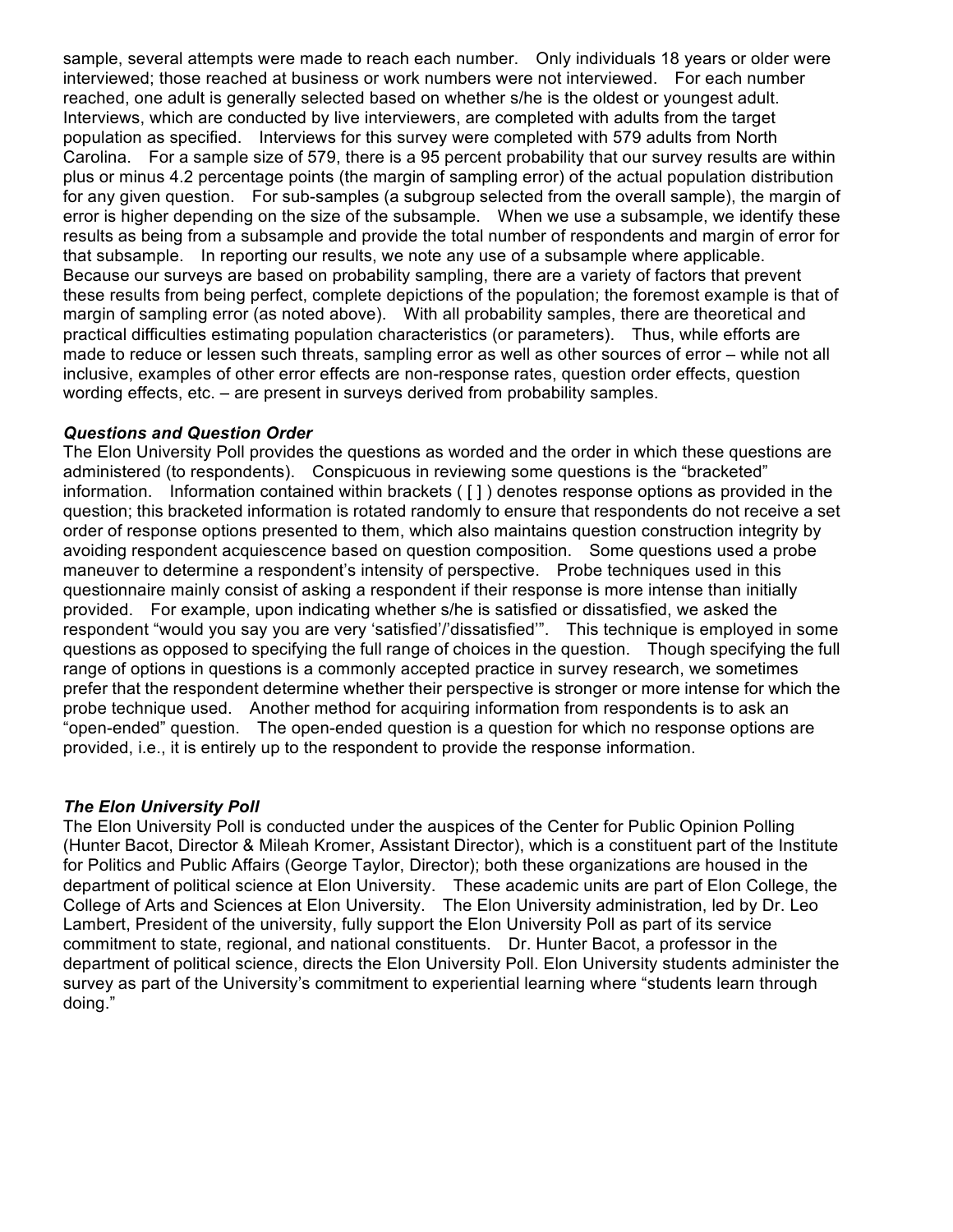sample, several attempts were made to reach each number. Only individuals 18 years or older were interviewed; those reached at business or work numbers were not interviewed. For each number reached, one adult is generally selected based on whether s/he is the oldest or youngest adult. Interviews, which are conducted by live interviewers, are completed with adults from the target population as specified. Interviews for this survey were completed with 579 adults from North Carolina. For a sample size of 579, there is a 95 percent probability that our survey results are within plus or minus 4.2 percentage points (the margin of sampling error) of the actual population distribution for any given question. For sub-samples (a subgroup selected from the overall sample), the margin of error is higher depending on the size of the subsample. When we use a subsample, we identify these results as being from a subsample and provide the total number of respondents and margin of error for that subsample. In reporting our results, we note any use of a subsample where applicable. Because our surveys are based on probability sampling, there are a variety of factors that prevent these results from being perfect, complete depictions of the population; the foremost example is that of margin of sampling error (as noted above). With all probability samples, there are theoretical and practical difficulties estimating population characteristics (or parameters). Thus, while efforts are made to reduce or lessen such threats, sampling error as well as other sources of error – while not all inclusive, examples of other error effects are non-response rates, question order effects, question wording effects, etc. – are present in surveys derived from probability samples.

### *Questions and Question Order*

The Elon University Poll provides the questions as worded and the order in which these questions are administered (to respondents). Conspicuous in reviewing some questions is the "bracketed" information. Information contained within brackets ( [ ] ) denotes response options as provided in the question; this bracketed information is rotated randomly to ensure that respondents do not receive a set order of response options presented to them, which also maintains question construction integrity by avoiding respondent acquiescence based on question composition. Some questions used a probe maneuver to determine a respondent's intensity of perspective. Probe techniques used in this questionnaire mainly consist of asking a respondent if their response is more intense than initially provided. For example, upon indicating whether s/he is satisfied or dissatisfied, we asked the respondent "would you say you are very 'satisfied'/'dissatisfied'". This technique is employed in some questions as opposed to specifying the full range of choices in the question. Though specifying the full range of options in questions is a commonly accepted practice in survey research, we sometimes prefer that the respondent determine whether their perspective is stronger or more intense for which the probe technique used. Another method for acquiring information from respondents is to ask an "open-ended" question. The open-ended question is a question for which no response options are provided, i.e., it is entirely up to the respondent to provide the response information.

## *The Elon University Poll*

The Elon University Poll is conducted under the auspices of the Center for Public Opinion Polling (Hunter Bacot, Director & Mileah Kromer, Assistant Director), which is a constituent part of the Institute for Politics and Public Affairs (George Taylor, Director); both these organizations are housed in the department of political science at Elon University. These academic units are part of Elon College, the College of Arts and Sciences at Elon University. The Elon University administration, led by Dr. Leo Lambert, President of the university, fully support the Elon University Poll as part of its service commitment to state, regional, and national constituents. Dr. Hunter Bacot, a professor in the department of political science, directs the Elon University Poll. Elon University students administer the survey as part of the University's commitment to experiential learning where "students learn through doing."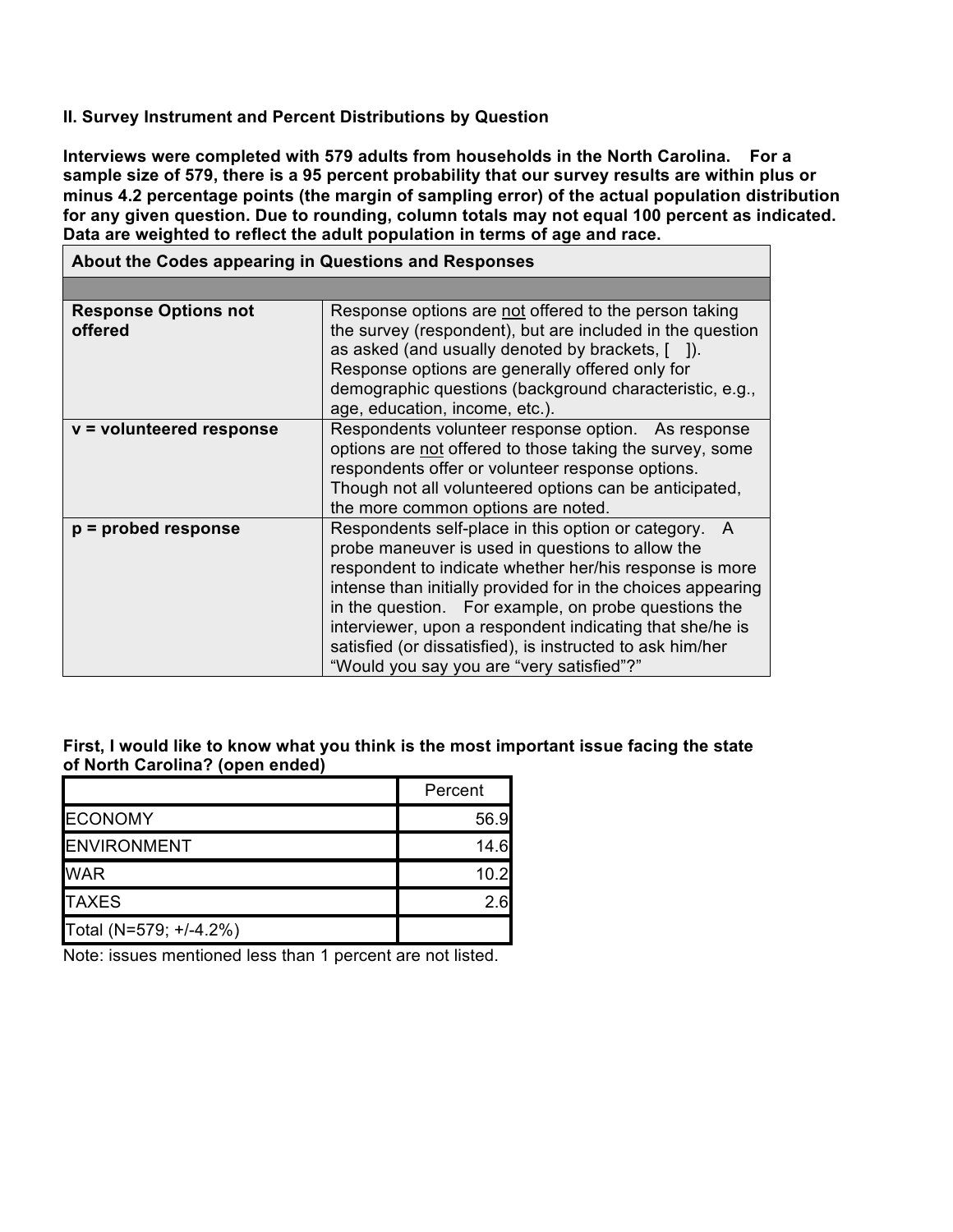### **II. Survey Instrument and Percent Distributions by Question**

**Interviews were completed with 579 adults from households in the North Carolina. For a sample size of 579, there is a 95 percent probability that our survey results are within plus or minus 4.2 percentage points (the margin of sampling error) of the actual population distribution for any given question. Due to rounding, column totals may not equal 100 percent as indicated. Data are weighted to reflect the adult population in terms of age and race.**

| About the Codes appearing in Questions and Responses |                                                                                                                                                                                                                                                                                                                                                                                                                                                                      |  |  |  |  |
|------------------------------------------------------|----------------------------------------------------------------------------------------------------------------------------------------------------------------------------------------------------------------------------------------------------------------------------------------------------------------------------------------------------------------------------------------------------------------------------------------------------------------------|--|--|--|--|
|                                                      |                                                                                                                                                                                                                                                                                                                                                                                                                                                                      |  |  |  |  |
| <b>Response Options not</b><br>offered               | Response options are not offered to the person taking<br>the survey (respondent), but are included in the question<br>as asked (and usually denoted by brackets, [ ]).<br>Response options are generally offered only for<br>demographic questions (background characteristic, e.g.,<br>age, education, income, etc.).                                                                                                                                               |  |  |  |  |
| v = volunteered response                             | Respondents volunteer response option. As response<br>options are not offered to those taking the survey, some<br>respondents offer or volunteer response options.<br>Though not all volunteered options can be anticipated,<br>the more common options are noted.                                                                                                                                                                                                   |  |  |  |  |
| $p =$ probed response                                | Respondents self-place in this option or category.<br>A<br>probe maneuver is used in questions to allow the<br>respondent to indicate whether her/his response is more<br>intense than initially provided for in the choices appearing<br>in the question. For example, on probe questions the<br>interviewer, upon a respondent indicating that she/he is<br>satisfied (or dissatisfied), is instructed to ask him/her<br>"Would you say you are "very satisfied"?" |  |  |  |  |

#### **First, I would like to know what you think is the most important issue facing the state of North Carolina? (open ended)**

|                        | Percent |
|------------------------|---------|
| <b>ECONOMY</b>         | 56.9    |
| <b>ENVIRONMENT</b>     | 14.6    |
| <b>WAR</b>             | 10.2    |
| <b>TAXES</b>           | 2 ค     |
| Total (N=579; +/-4.2%) |         |

Note: issues mentioned less than 1 percent are not listed.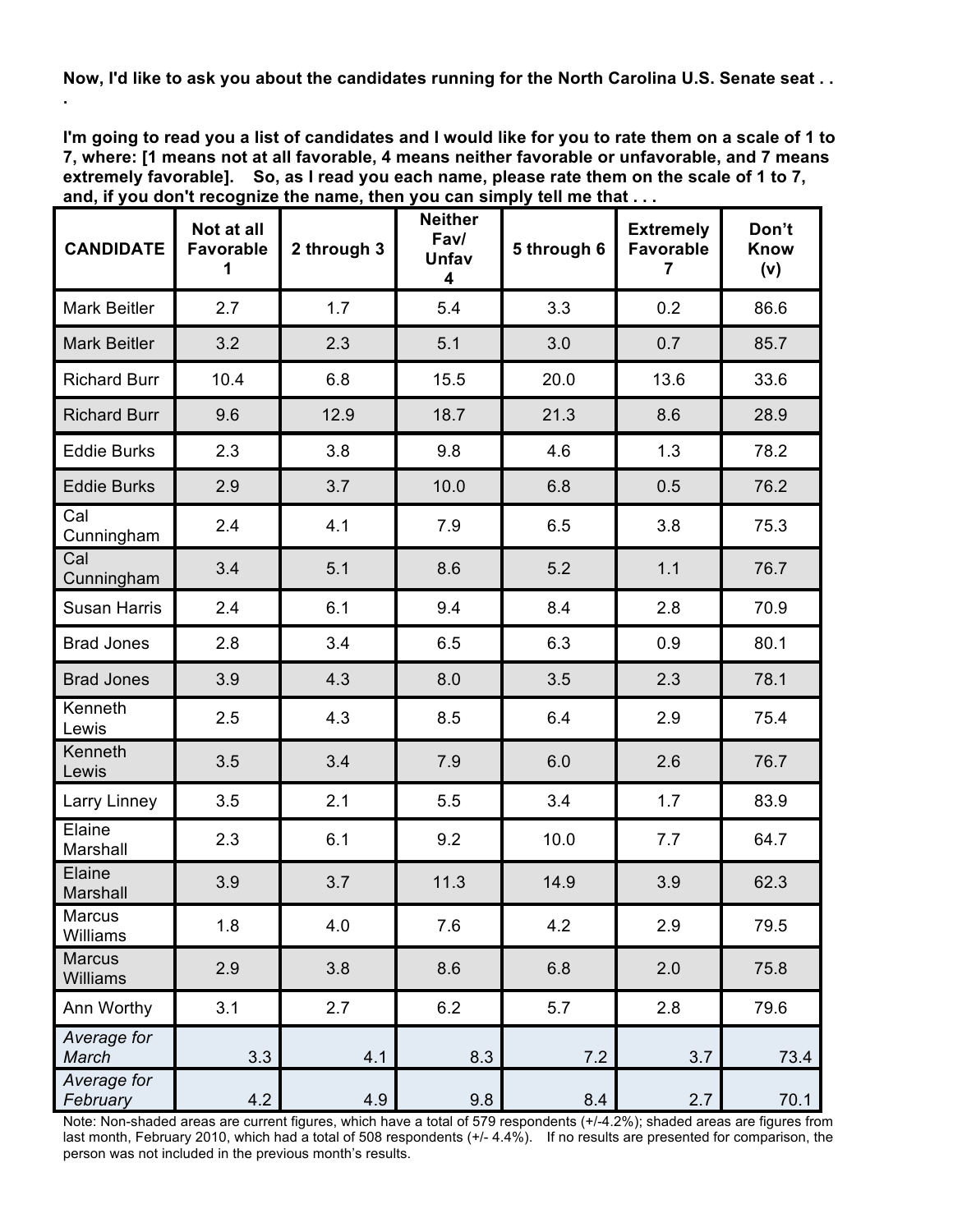Now, I'd like to ask you about the candidates running for the North Carolina U.S. Senate seat..

**.**

I'm going to read you a list of candidates and I would like for you to rate them on a scale of 1 to **7, where: [1 means not at all favorable, 4 means neither favorable or unfavorable, and 7 means extremely favorable]. So, as I read you each name, please rate them on the scale of 1 to 7, and, if you don't recognize the name, then you can simply tell me that . . .**

| <b>CANDIDATE</b>          | Not at all<br><b>Favorable</b><br>1 | 2 through 3 | <b>Neither</b><br>Fav/<br>Unfav<br>4 | 5 through 6 | <b>Extremely</b><br><b>Favorable</b><br>7 | Don't<br><b>Know</b><br>(v) |
|---------------------------|-------------------------------------|-------------|--------------------------------------|-------------|-------------------------------------------|-----------------------------|
| <b>Mark Beitler</b>       | 2.7                                 | 1.7         | 5.4                                  | 3.3         | 0.2                                       | 86.6                        |
| <b>Mark Beitler</b>       | 3.2                                 | 2.3         | 5.1                                  | 3.0         | 0.7                                       | 85.7                        |
| <b>Richard Burr</b>       | 10.4                                | 6.8         | 15.5                                 | 20.0        | 13.6                                      | 33.6                        |
| <b>Richard Burr</b>       | 9.6                                 | 12.9        | 18.7                                 | 21.3        | 8.6                                       | 28.9                        |
| <b>Eddie Burks</b>        | 2.3                                 | 3.8         | 9.8                                  | 4.6         | 1.3                                       | 78.2                        |
| <b>Eddie Burks</b>        | 2.9                                 | 3.7         | 10.0                                 | 6.8         | 0.5                                       | 76.2                        |
| Cal<br>Cunningham         | 2.4                                 | 4.1         | 7.9                                  | 6.5         | 3.8                                       | 75.3                        |
| Cal<br>Cunningham         | 3.4                                 | 5.1         | 8.6                                  | 5.2         | 1.1                                       | 76.7                        |
| <b>Susan Harris</b>       | 2.4                                 | 6.1         | 9.4                                  | 8.4         | 2.8                                       | 70.9                        |
| <b>Brad Jones</b>         | 2.8                                 | 3.4         | 6.5                                  | 6.3         | 0.9                                       | 80.1                        |
| <b>Brad Jones</b>         | 3.9                                 | 4.3         | 8.0                                  | 3.5         | 2.3                                       | 78.1                        |
| Kenneth<br>Lewis          | 2.5                                 | 4.3         | 8.5                                  | 6.4         | 2.9                                       | 75.4                        |
| Kenneth<br>Lewis          | 3.5                                 | 3.4         | 7.9                                  | 6.0         | 2.6                                       | 76.7                        |
| Larry Linney              | 3.5                                 | 2.1         | 5.5                                  | 3.4         | 1.7                                       | 83.9                        |
| Elaine<br>Marshall        | 2.3                                 | 6.1         | 9.2                                  | 10.0        | 7.7                                       | 64.7                        |
| Elaine<br>Marshall        | 3.9                                 | 3.7         | 11.3                                 | 14.9        | 3.9                                       | 62.3                        |
| Marcus<br>Williams        | 1.8                                 | 4.0         | 7.6                                  | 4.2         | 2.9                                       | 79.5                        |
| <b>Marcus</b><br>Williams | 2.9                                 | 3.8         | 8.6                                  | 6.8         | 2.0                                       | 75.8                        |
| Ann Worthy                | 3.1                                 | 2.7         | 6.2                                  | 5.7         | 2.8                                       | 79.6                        |
| Average for<br>March      | 3.3                                 | 4.1         | 8.3                                  | 7.2         | 3.7                                       | 73.4                        |
| Average for<br>February   | 4.2                                 | 4.9         | 9.8                                  | 8.4         | 2.7                                       | 70.1                        |

Note: Non-shaded areas are current figures, which have a total of 579 respondents (+/-4.2%); shaded areas are figures from last month, February 2010, which had a total of 508 respondents (+/- 4.4%). If no results are presented for comparison, the person was not included in the previous month's results.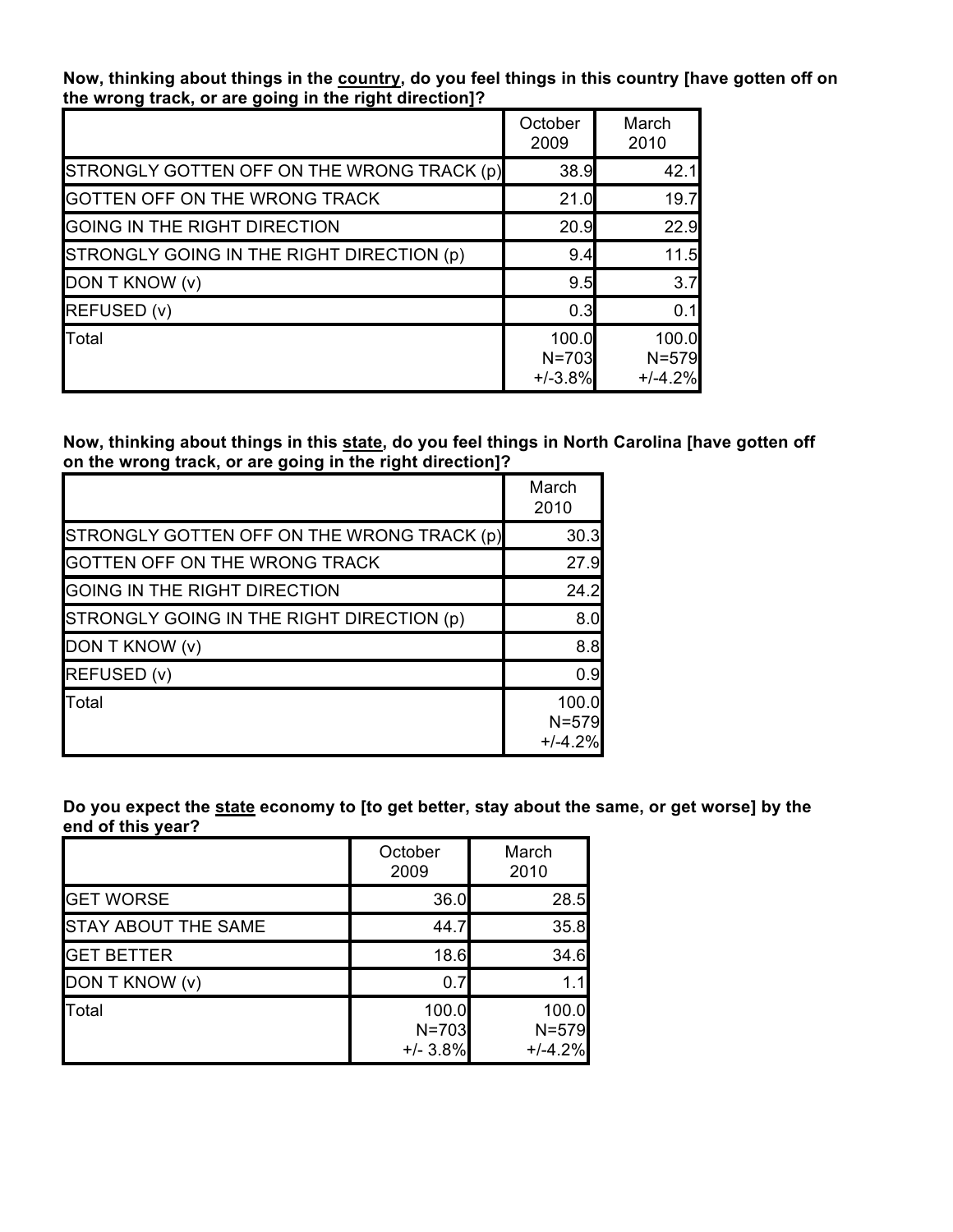**Now, thinking about things in the country, do you feel things in this country [have gotten off on the wrong track, or are going in the right direction]?**

|                                            | October<br>2009                 | March<br>2010                   |
|--------------------------------------------|---------------------------------|---------------------------------|
| STRONGLY GOTTEN OFF ON THE WRONG TRACK (p) | 38.9                            | 42.1                            |
| GOTTEN OFF ON THE WRONG TRACK              | 21.0                            | 19.7                            |
| GOING IN THE RIGHT DIRECTION               | 20.9                            | 22.9                            |
| STRONGLY GOING IN THE RIGHT DIRECTION (p)  | 9.4                             | $11.5$                          |
| DON T KNOW (v)                             | 9.5                             | 3.7                             |
| REFUSED (v)                                | 0.3                             | 0.1                             |
| Total                                      | 100.0<br>$N = 703$<br>$+/-3.8%$ | 100.0<br>$N = 579$<br>$+/-4.2%$ |

## **Now, thinking about things in this state, do you feel things in North Carolina [have gotten off on the wrong track, or are going in the right direction]?**

|                                            | March<br>2010                   |
|--------------------------------------------|---------------------------------|
| STRONGLY GOTTEN OFF ON THE WRONG TRACK (p) | 30.3                            |
| GOTTEN OFF ON THE WRONG TRACK              | 27.9                            |
| GOING IN THE RIGHT DIRECTION               | 24.2                            |
| STRONGLY GOING IN THE RIGHT DIRECTION (p)  | 8.0                             |
| DON T KNOW (v)                             | 8.8                             |
| REFUSED (v)                                | 0.9                             |
| <b>Total</b>                               | 100.0<br>$N = 579$<br>$+/-4.2%$ |

Do you expect the state economy to [to get better, stay about the same, or get worse] by the **end of this year?**

|                            | October<br>2009                  | March<br>2010                   |
|----------------------------|----------------------------------|---------------------------------|
| <b>GET WORSE</b>           | 36.0                             | 28.5                            |
| <b>STAY ABOUT THE SAME</b> | 44.7                             | 35.8                            |
| <b>GET BETTER</b>          | 18.6                             | 34.6                            |
| DON T KNOW (v)             | 0.7                              | 1.1                             |
| Total                      | 100.0<br>$N = 703$<br>$+/- 3.8%$ | 100.0<br>$N = 579$<br>$+/-4.2%$ |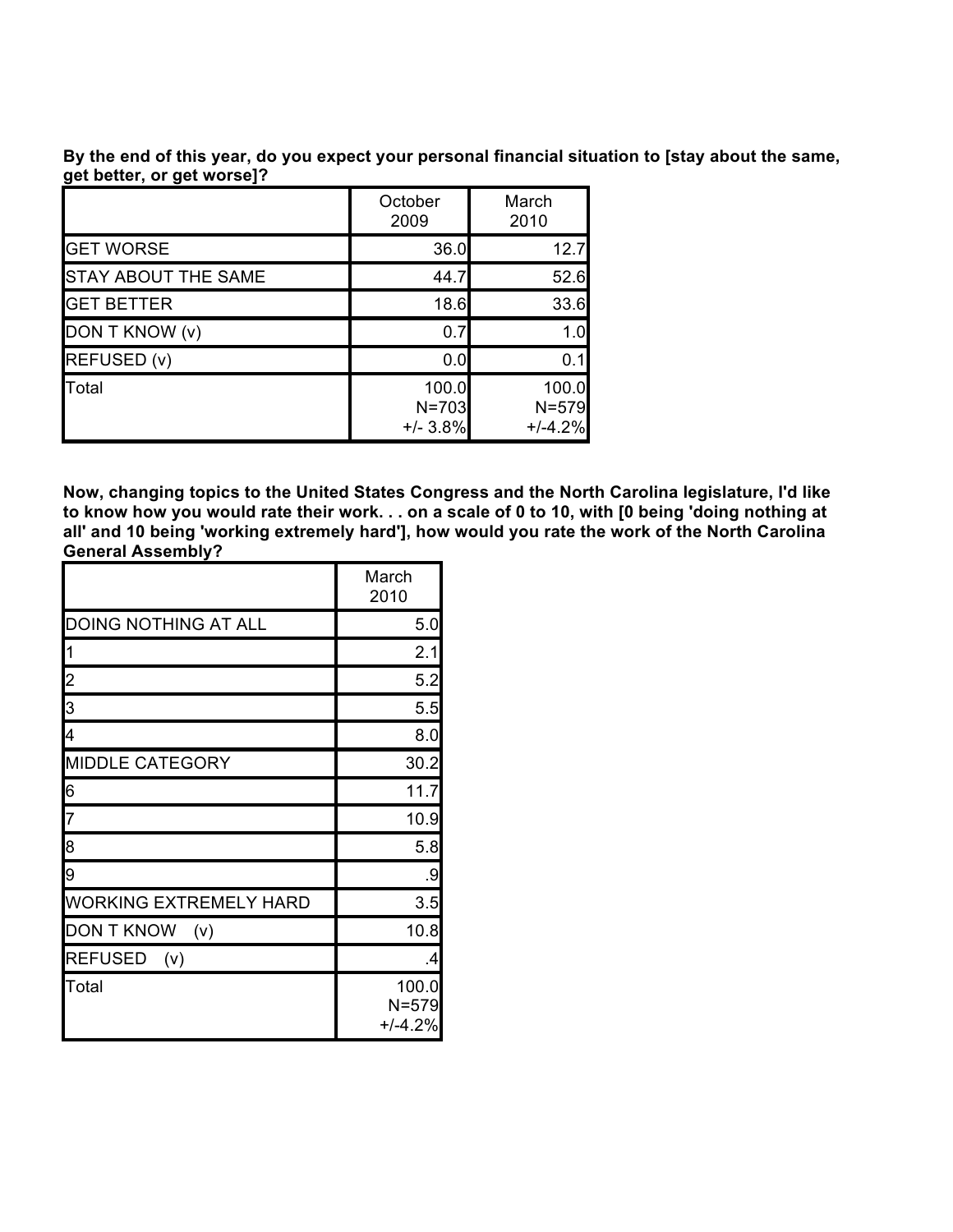**By the end of this year, do you expect your personal financial situation to [stay about the same, get better, or get worse]?**

|                            | October<br>2009                  | March<br>2010                   |
|----------------------------|----------------------------------|---------------------------------|
| <b>GET WORSE</b>           | 36.0                             | 12.7                            |
| <b>STAY ABOUT THE SAME</b> | 44.7                             | 52.6                            |
| <b>GET BETTER</b>          | 18.6                             | 33.6                            |
| DON T KNOW (v)             | 0.7                              | 1.0                             |
| REFUSED (v)                | 0.0                              | 0.1                             |
| Total                      | 100.0<br>$N = 703$<br>$+/- 3.8%$ | 100.0<br>$N = 579$<br>$+/-4.2%$ |

**Now, changing topics to the United States Congress and the North Carolina legislature, I'd like** to know how you would rate their work. . . on a scale of 0 to 10, with [0 being 'doing nothing at **all' and 10 being 'working extremely hard'], how would you rate the work of the North Carolina General Assembly?**

|                               | March<br>2010                   |
|-------------------------------|---------------------------------|
| <b>DOING NOTHING AT ALL</b>   | 5.0                             |
|                               | 2.1                             |
| $\overline{2}$                | 5.2                             |
| $\overline{3}$                | 5.5                             |
| 4                             | 8.0                             |
| <b>MIDDLE CATEGORY</b>        | 30.2                            |
| 6                             | 11.7                            |
| 7                             | 10.9                            |
| $\overline{8}$                | 5.8                             |
| 9                             | .9                              |
| <b>WORKING EXTREMELY HARD</b> | 3.5                             |
| <b>DON T KNOW</b><br>(v)      | 10.8                            |
| REFUSED (v)                   | .4                              |
| Total                         | 100.0<br>$N = 579$<br>$+/-4.2%$ |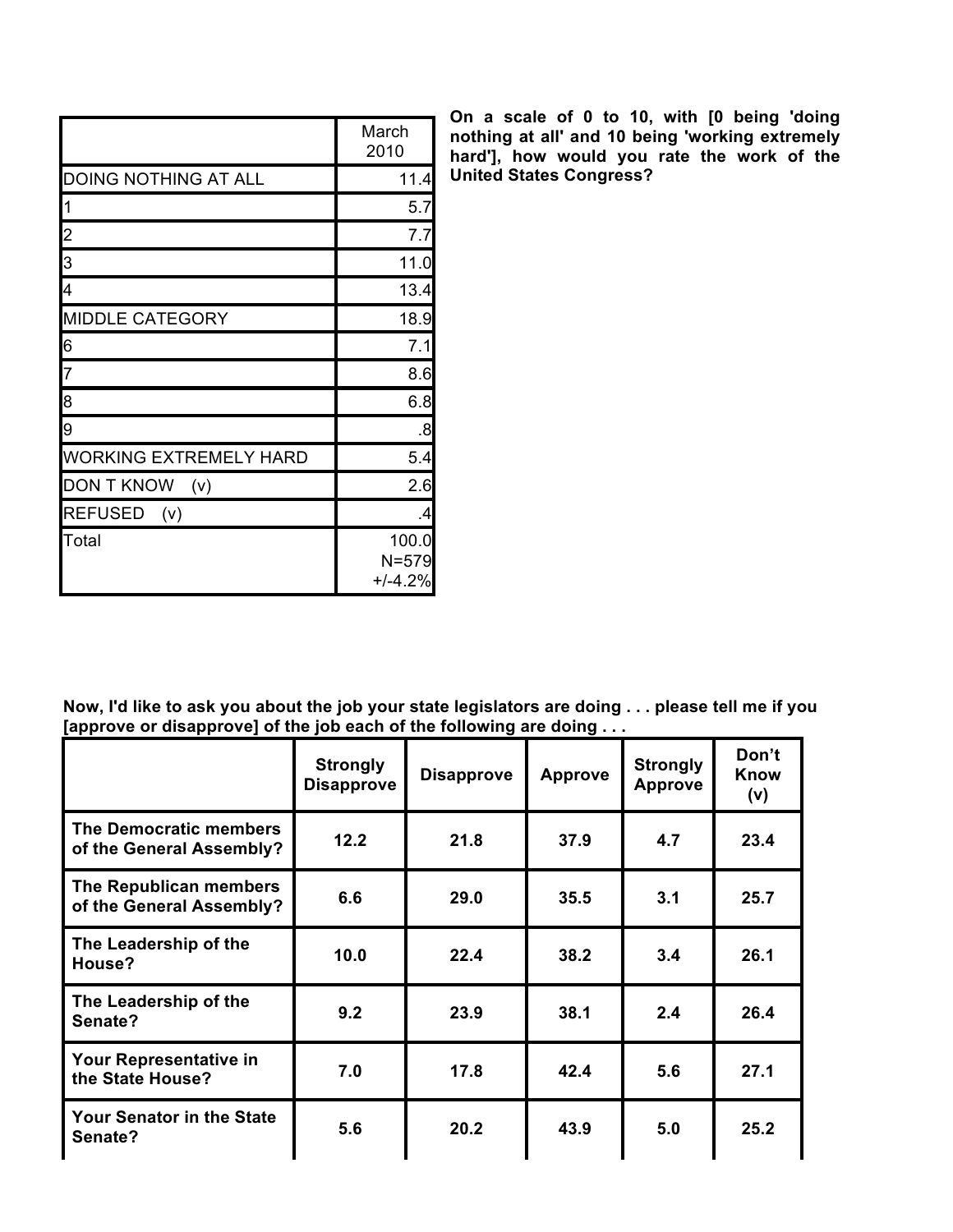|                               | March<br>2010                   |
|-------------------------------|---------------------------------|
| <b>DOING NOTHING AT ALL</b>   | 11.4                            |
|                               | 5.7                             |
| $\overline{c}$                | 7.7                             |
| $\overline{\mathbf{3}}$       | 11.0                            |
| 4                             | 13.4                            |
| <b>MIDDLE CATEGORY</b>        | 18.9                            |
| 6                             | 7.1                             |
| $\overline{z}$                | 8.6                             |
| $\overline{8}$                | 6.8                             |
| 9                             | .8                              |
| <b>WORKING EXTREMELY HARD</b> | 5.4                             |
| DON T KNOW (v)                | 2.6                             |
| REFUSED (v)                   | .4                              |
| Total                         | 100.0<br>$N = 579$<br>$+/-4.2%$ |

**On a scale of 0 to 10, with [0 being 'doing nothing at all' and 10 being 'working extremely hard'], how would you rate the work of the United States Congress?**

| Now, I'd like to ask you about the job your state legislators are doing please tell me if you |  |
|-----------------------------------------------------------------------------------------------|--|
| [approve or disapprove] of the job each of the following are doing $\dots$                    |  |

| .                                                  |                                      |                   |                |                                   |                             |
|----------------------------------------------------|--------------------------------------|-------------------|----------------|-----------------------------------|-----------------------------|
|                                                    | <b>Strongly</b><br><b>Disapprove</b> | <b>Disapprove</b> | <b>Approve</b> | <b>Strongly</b><br><b>Approve</b> | Don't<br><b>Know</b><br>(v) |
| The Democratic members<br>of the General Assembly? | 12.2                                 | 21.8              | 37.9           | 4.7                               | 23.4                        |
| The Republican members<br>of the General Assembly? | 6.6                                  | 29.0              | 35.5           | 3.1                               | 25.7                        |
| The Leadership of the<br>House?                    | 10.0                                 | 22.4              | 38.2           | 3.4                               | 26.1                        |
| The Leadership of the<br>Senate?                   | 9.2                                  | 23.9              | 38.1           | 2.4                               | 26.4                        |
| Your Representative in<br>the State House?         | 7.0                                  | 17.8              | 42.4           | 5.6                               | 27.1                        |
| <b>Your Senator in the State</b><br>Senate?        | 5.6                                  | 20.2              | 43.9           | 5.0                               | 25.2                        |